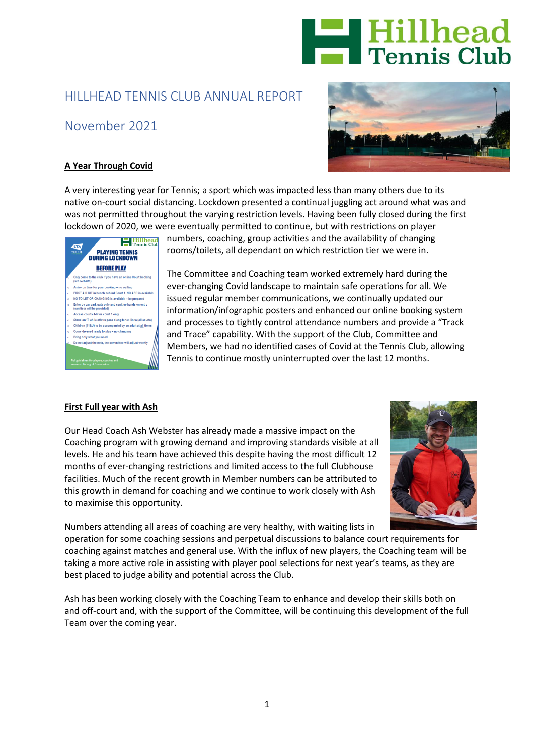

# HILLHEAD TENNIS CLUB ANNUAL REPORT

# November 2021



## **A Year Through Covid**

A very interesting year for Tennis; a sport which was impacted less than many others due to its native on-court social distancing. Lockdown presented a continual juggling act around what was and was not permitted throughout the varying restriction levels. Having been fully closed during the first lockdown of 2020, we were eventually permitted to continue, but with restrictions on player



numbers, coaching, group activities and the availability of changing rooms/toilets, all dependant on which restriction tier we were in.

The Committee and Coaching team worked extremely hard during the ever-changing Covid landscape to maintain safe operations for all. We issued regular member communications, we continually updated our information/infographic posters and enhanced our online booking system and processes to tightly control attendance numbers and provide a "Track and Trace" capability. With the support of the Club, Committee and Members, we had no identified cases of Covid at the Tennis Club, allowing Tennis to continue mostly uninterrupted over the last 12 months.

#### **First Full year with Ash**

Our Head Coach Ash Webster has already made a massive impact on the Coaching program with growing demand and improving standards visible at all levels. He and his team have achieved this despite having the most difficult 12 months of ever-changing restrictions and limited access to the full Clubhouse facilities. Much of the recent growth in Member numbers can be attributed to this growth in demand for coaching and we continue to work closely with Ash to maximise this opportunity.



Numbers attending all areas of coaching are very healthy, with waiting lists in

operation for some coaching sessions and perpetual discussions to balance court requirements for coaching against matches and general use. With the influx of new players, the Coaching team will be taking a more active role in assisting with player pool selections for next year's teams, as they are best placed to judge ability and potential across the Club.

Ash has been working closely with the Coaching Team to enhance and develop their skills both on and off-court and, with the support of the Committee, will be continuing this development of the full Team over the coming year.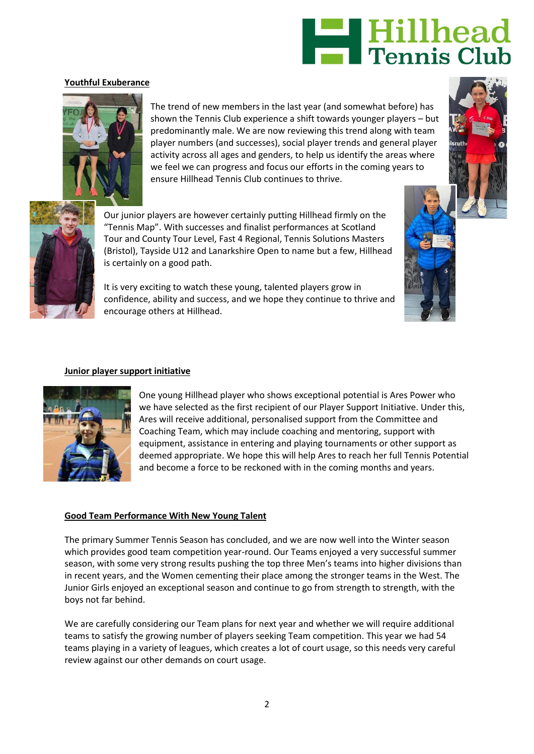

### **Youthful Exuberance**



The trend of new members in the last year (and somewhat before) has shown the Tennis Club experience a shift towards younger players – but predominantly male. We are now reviewing this trend along with team player numbers (and successes), social player trends and general player activity across all ages and genders, to help us identify the areas where we feel we can progress and focus our efforts in the coming years to ensure Hillhead Tennis Club continues to thrive.





Our junior players are however certainly putting Hillhead firmly on the "Tennis Map". With successes and finalist performances at Scotland Tour and County Tour Level, Fast 4 Regional, Tennis Solutions Masters (Bristol), Tayside U12 and Lanarkshire Open to name but a few, Hillhead is certainly on a good path.

It is very exciting to watch these young, talented players grow in confidence, ability and success, and we hope they continue to thrive and encourage others at Hillhead.



#### **Junior player support initiative**



One young Hillhead player who shows exceptional potential is Ares Power who we have selected as the first recipient of our Player Support Initiative. Under this, Ares will receive additional, personalised support from the Committee and Coaching Team, which may include coaching and mentoring, support with equipment, assistance in entering and playing tournaments or other support as deemed appropriate. We hope this will help Ares to reach her full Tennis Potential and become a force to be reckoned with in the coming months and years.

#### **Good Team Performance With New Young Talent**

The primary Summer Tennis Season has concluded, and we are now well into the Winter season which provides good team competition year-round. Our Teams enjoyed a very successful summer season, with some very strong results pushing the top three Men's teams into higher divisions than in recent years, and the Women cementing their place among the stronger teams in the West. The Junior Girls enjoyed an exceptional season and continue to go from strength to strength, with the boys not far behind.

We are carefully considering our Team plans for next year and whether we will require additional teams to satisfy the growing number of players seeking Team competition. This year we had 54 teams playing in a variety of leagues, which creates a lot of court usage, so this needs very careful review against our other demands on court usage.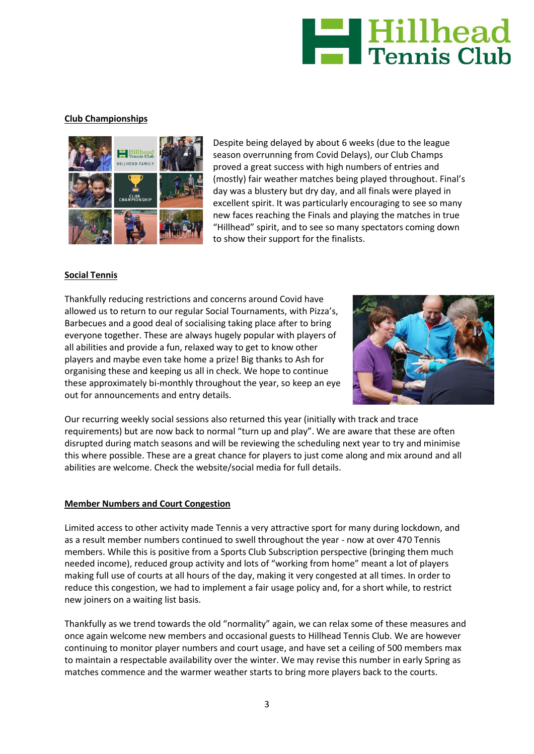

### **Club Championships**



Despite being delayed by about 6 weeks (due to the league season overrunning from Covid Delays), our Club Champs proved a great success with high numbers of entries and (mostly) fair weather matches being played throughout. Final's day was a blustery but dry day, and all finals were played in excellent spirit. It was particularly encouraging to see so many new faces reaching the Finals and playing the matches in true "Hillhead" spirit, and to see so many spectators coming down to show their support for the finalists.

#### **Social Tennis**

Thankfully reducing restrictions and concerns around Covid have allowed us to return to our regular Social Tournaments, with Pizza's, Barbecues and a good deal of socialising taking place after to bring everyone together. These are always hugely popular with players of all abilities and provide a fun, relaxed way to get to know other players and maybe even take home a prize! Big thanks to Ash for organising these and keeping us all in check. We hope to continue these approximately bi-monthly throughout the year, so keep an eye out for announcements and entry details.



Our recurring weekly social sessions also returned this year (initially with track and trace requirements) but are now back to normal "turn up and play". We are aware that these are often disrupted during match seasons and will be reviewing the scheduling next year to try and minimise this where possible. These are a great chance for players to just come along and mix around and all abilities are welcome. Check the website/social media for full details.

#### **Member Numbers and Court Congestion**

Limited access to other activity made Tennis a very attractive sport for many during lockdown, and as a result member numbers continued to swell throughout the year - now at over 470 Tennis members. While this is positive from a Sports Club Subscription perspective (bringing them much needed income), reduced group activity and lots of "working from home" meant a lot of players making full use of courts at all hours of the day, making it very congested at all times. In order to reduce this congestion, we had to implement a fair usage policy and, for a short while, to restrict new joiners on a waiting list basis.

Thankfully as we trend towards the old "normality" again, we can relax some of these measures and once again welcome new members and occasional guests to Hillhead Tennis Club. We are however continuing to monitor player numbers and court usage, and have set a ceiling of 500 members max to maintain a respectable availability over the winter. We may revise this number in early Spring as matches commence and the warmer weather starts to bring more players back to the courts.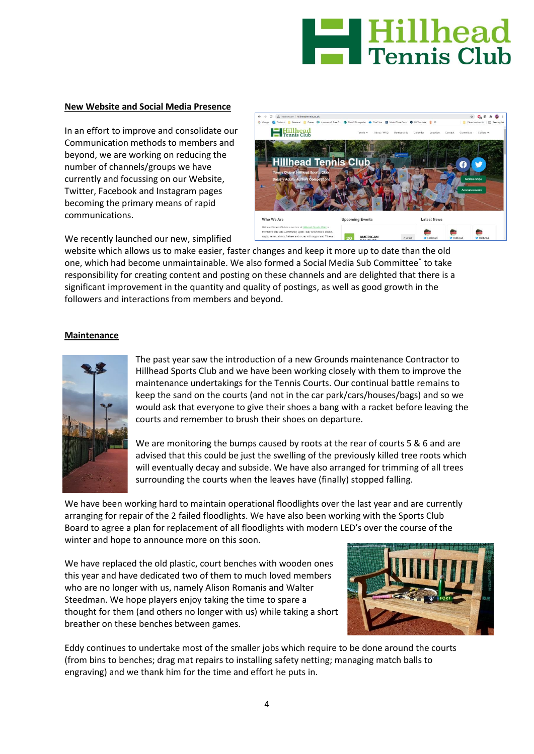

#### **New Website and Social Media Presence**

In an effort to improve and consolidate our Communication methods to members and beyond, we are working on reducing the number of channels/groups we have currently and focussing on our Website, [Twitter,](https://emea01.safelinks.protection.outlook.com/?url=https%3A%2F%2Ftwitter.com%2FHillheadTennis&data=04%7C01%7C%7Cd4546a1c3c454bfee50f08d96877d86f%7C84df9e7fe9f640afb435aaaaaaaaaaaa%7C1%7C0%7C637655686205146384%7CUnknown%7CTWFpbGZsb3d8eyJWIjoiMC4wLjAwMDAiLCJQIjoiV2luMzIiLCJBTiI6Ik1haWwiLCJXVCI6Mn0%3D%7C1000&sdata=Iife03Q0XdSjy%2FxfWPc3TMoraWWoAwse7qMWu20gAxE%3D&reserved=0) [Facebook](https://emea01.safelinks.protection.outlook.com/?url=https%3A%2F%2Fwww.facebook.com%2Fhillhead.tennis.club&data=04%7C01%7C%7Cd4546a1c3c454bfee50f08d96877d86f%7C84df9e7fe9f640afb435aaaaaaaaaaaa%7C1%7C0%7C637655686205146384%7CUnknown%7CTWFpbGZsb3d8eyJWIjoiMC4wLjAwMDAiLCJQIjoiV2luMzIiLCJBTiI6Ik1haWwiLCJXVCI6Mn0%3D%7C1000&sdata=Xj1BloEIgS8N%2F5MFcKQSBB5xdC3guoQMezaLcWvjNRU%3D&reserved=0) and [Instagram](https://emea01.safelinks.protection.outlook.com/?url=https%3A%2F%2Fwww.instagram.com%2Fhillheadtennisclub%2F&data=04%7C01%7C%7Cd4546a1c3c454bfee50f08d96877d86f%7C84df9e7fe9f640afb435aaaaaaaaaaaa%7C1%7C0%7C637655686205156343%7CUnknown%7CTWFpbGZsb3d8eyJWIjoiMC4wLjAwMDAiLCJQIjoiV2luMzIiLCJBTiI6Ik1haWwiLCJXVCI6Mn0%3D%7C1000&sdata=k9XR3oZ%2FDK1MdcvNbflZLc6a5y%2BeItDxn58qC9nYBoI%3D&reserved=0) pages becoming the primary means of rapid communications.



We recently launched our new, simplified

website which allows us to make easier, faster changes and keep it more up to date than the old one, which had become unmaintainable. We also formed a Social Media Sub Committee\* to take responsibility for creating content and posting on these channels and are delighted that there is a significant improvement in the quantity and quality of postings, as well as good growth in the followers and interactions from members and beyond.

#### **Maintenance**



The past year saw the introduction of a new Grounds maintenance Contractor to Hillhead Sports Club and we have been working closely with them to improve the maintenance undertakings for the Tennis Courts. Our continual battle remains to keep the sand on the courts (and not in the car park/cars/houses/bags) and so we would ask that everyone to give their shoes a bang with a racket before leaving the courts and remember to brush their shoes on departure.

We are monitoring the bumps caused by roots at the rear of courts 5  $\&$  6 and are advised that this could be just the swelling of the previously killed tree roots which will eventually decay and subside. We have also arranged for trimming of all trees surrounding the courts when the leaves have (finally) stopped falling.

We have been working hard to maintain operational floodlights over the last year and are currently arranging for repair of the 2 failed floodlights. We have also been working with the Sports Club Board to agree a plan for replacement of all floodlights with modern LED's over the course of the winter and hope to announce more on this soon.

We have replaced the old plastic, court benches with wooden ones this year and have dedicated two of them to much loved members who are no longer with us, namely Alison Romanis and Walter Steedman. We hope players enjoy taking the time to spare a thought for them (and others no longer with us) while taking a short breather on these benches between games.



Eddy continues to undertake most of the smaller jobs which require to be done around the courts (from bins to benches; drag mat repairs to installing safety netting; managing match balls to engraving) and we thank him for the time and effort he puts in.